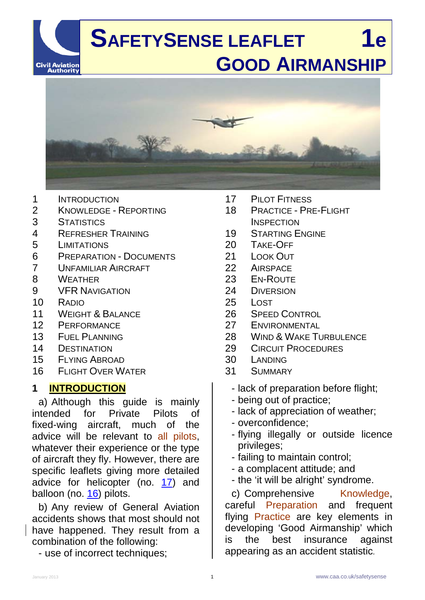



- 1 INTRODUCTION<br>2 KNOWLEDGE -
- 2 KNOWLEDGE REPORTING
- 3 STATISTICS<br>4 REERESHEE
- 4 REFRESHER TRAINING
- 5 LIMITATIONS<br>6 PREPARATIO
- PREPARATION DOCUMENTS
- 7 UNFAMILIAR AIRCRAFT<br>8 WFATHER
- **WEATHER**
- 9 VFR NAVIGATION
- 10 RADIO
- 11 WEIGHT & BALANCE
- 12 PERFORMANCE
- 13 FUEL PLANNING
- 14 DESTINATION
- 15 FLYING ABROAD
- 16 FLIGHT OVER WATER

#### **1 INTRODUCTION**

a) Although this guide is mainly intended for Private Pilots of fixed-wing aircraft, much of the advice will be relevant to all pilots, whatever their experience or the type of aircraft they fly. However, there are specific leaflets giving more detailed advice for helicopter (no. [17\)](http://www.caa.co.uk/safetysenseleaflet17) and balloon (no.  $16$ ) pilots.

b) Any review of General Aviation accidents shows that most should not have happened. They result from a combination of the following:

- use of incorrect techniques;

- 17 PILOT FITNESS
- 18 PRACTICE PRE-FLIGHT **INSPECTION**
- 19 STARTING ENGINE
- 20 TAKE-OFF<br>21 LOOK OUT
- LOOK OUT
- 22 AIRSPACE
- 23 EN-ROUTE
- 24 DIVERSION
- 25 LOST
- 26 SPEED CONTROL
- 27 ENVIRONMENTAL
- 28 WIND & WAKE TURBULENCE
- 29 CIRCUIT PROCEDURES
- 30 LANDING
- 31 SUMMARY
	- lack of preparation before flight;
	- being out of practice;
	- lack of appreciation of weather;
	- overconfidence;
	- flying illegally or outside licence privileges;
	- failing to maintain control;
	- a complacent attitude; and
	- the 'it will be alright' syndrome.

c) Comprehensive Knowledge, careful Preparation and frequent flying Practice are key elements in developing 'Good Airmanship' which is the best insurance against appearing as an accident statistic.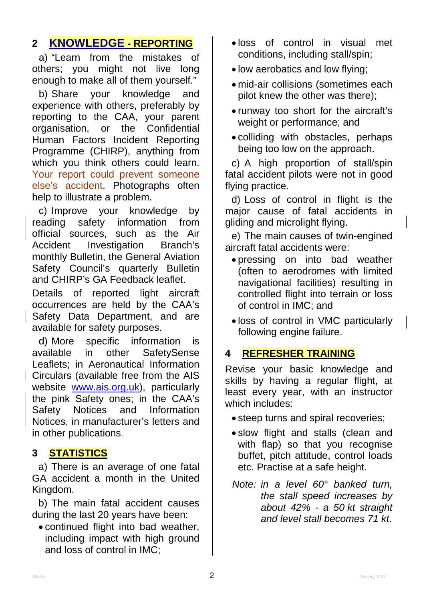#### **2 KNOWLEDGE - REPORTING**

a) "Learn from the mistakes of others; you might not live long enough to make all of them yourself."

b) Share your knowledge and experience with others, preferably by reporting to the CAA, your parent organisation, or the Confidential Human Factors Incident Reporting Programme (CHIRP), anything from which you think others could learn. Your report could prevent someone else's accident. Photographs often help to illustrate a problem.

c) Improve your knowledge by reading safety information from official sources, such as the Air Accident Investigation Branch's monthly Bulletin, the General Aviation Safety Council's quarterly Bulletin and CHIRP's GA Feedback leaflet.

Details of reported light aircraft occurrences are held by the CAA's Safety Data Department, and are available for safety purposes.

d) More specific information is available in other SafetySense Leaflets; in Aeronautical Information Circulars (available free from the AIS website [www.ais.org.uk\)](http://www.ais.org.uk/), particularly the pink Safety ones; in the CAA's<br>Safety Notices and Information Safety Notices and Information Notices, in manufacturer's letters and in other publications.

#### **3 STATISTICS**

a) There is an average of one fatal GA accident a month in the United Kingdom.

b) The main fatal accident causes during the last 20 years have been:

• continued flight into bad weather, including impact with high ground and loss of control in IMC;

- loss of control in visual met conditions, including stall/spin;
- low aerobatics and low flying;
- mid-air collisions (sometimes each pilot knew the other was there);
- runway too short for the aircraft's weight or performance; and
- colliding with obstacles, perhaps being too low on the approach.

c) A high proportion of stall/spin fatal accident pilots were not in good flying practice.

d) Loss of control in flight is the major cause of fatal accidents in gliding and microlight flying.

e) The main causes of twin-engined aircraft fatal accidents were:

- pressing on into bad weather (often to aerodromes with limited navigational facilities) resulting in controlled flight into terrain or loss of control in IMC; and
- loss of control in VMC particularly following engine failure.

#### **4 REFRESHER TRAINING**

Revise your basic knowledge and skills by having a regular flight, at least every year, with an instructor which includes:

- steep turns and spiral recoveries;
- slow flight and stalls (clean and with flap) so that you recognise buffet, pitch attitude, control loads etc. Practise at a safe height.
- *Note: in a level 60° banked turn, the stall speed increases by about 42% - a 50 kt straight and level stall becomes 71 kt*.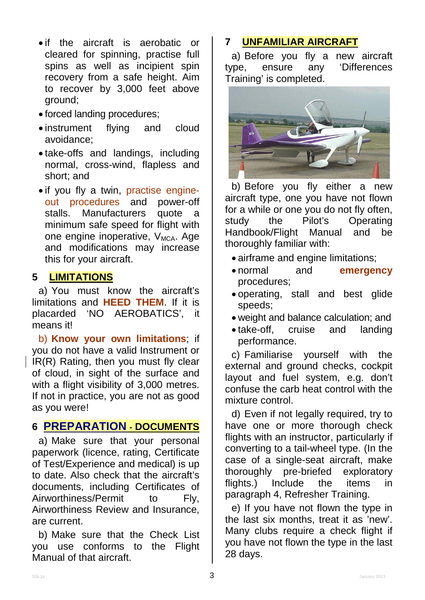- if the aircraft is aerobatic or cleared for spinning, practise full spins as well as incipient spin recovery from a safe height. Aim to recover by 3,000 feet above ground;
- forced landing procedures;
- instrument flying and cloud avoidance;
- take-offs and landings, including normal, cross-wind, flapless and short; and
- if you fly a twin, practise engineout procedures and power-off stalls. Manufacturers quote a minimum safe speed for flight with one engine inoperative,  $V_{MCA}$ . Age and modifications may increase this for your aircraft.

#### **5 LIMITATIONS**

a) You must know the aircraft's limitations and **HEED THEM**. If it is placarded 'NO AEROBATICS', it means it!

b) **Know your own limitations**; if you do not have a valid Instrument or IR(R) Rating, then you must fly clear of cloud, in sight of the surface and with a flight visibility of 3,000 metres. If not in practice, you are not as good as you were!

# **6 PREPARATION - DOCUMENTS**

a) Make sure that your personal paperwork (licence, rating, Certificate of Test/Experience and medical) is up to date. Also check that the aircraft's documents, including Certificates of Airworthiness/Permit to Fly. Airworthiness Review and Insurance, are current.

b) Make sure that the Check List you use conforms to the Flight Manual of that aircraft.

# **7 UNFAMILIAR AIRCRAFT**

a) Before you fly a new aircraft type, ensure any 'Differences Training' is completed.



b) Before you fly either a new aircraft type, one you have not flown for a while or one you do not fly often, study the Pilot's Operating<br>Handbook/Flight Manual and be Handbook/Flight Manual thoroughly familiar with:

- airframe and engine limitations;
- normal and **emergency** procedures;
- operating, stall and best glide speeds;
- weight and balance calculation; and
- take-off, cruise and landing performance.

c) Familiarise yourself with the external and ground checks, cockpit layout and fuel system, e.g. don't confuse the carb heat control with the mixture control.

d) Even if not legally required, try to have one or more thorough check flights with an instructor, particularly if converting to a tail-wheel type. (In the case of a single-seat aircraft, make thoroughly pre-briefed exploratory flights.) Include the items in paragraph 4, Refresher Training.

e) If you have not flown the type in the last six months, treat it as 'new'. Many clubs require a check flight if you have not flown the type in the last 28 days.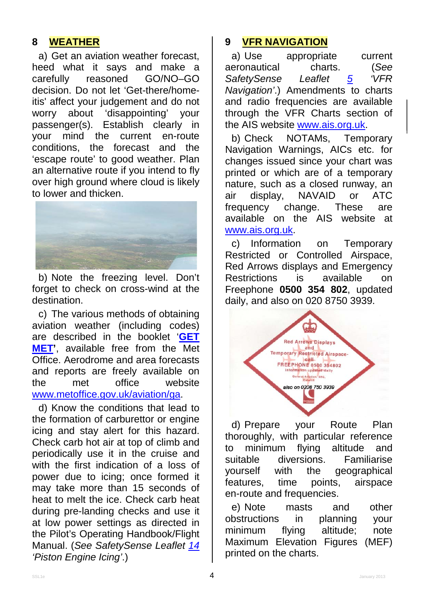#### **8 WEATHER**

a) Get an aviation weather forecast, heed what it says and make a<br>carefully reasoned GO/NO-GO carefully reasoned GO/NO–GO decision. Do not let 'Get-there/homeitis' affect your judgement and do not worry about 'disappointing' your passenger(s). Establish clearly in your mind the current en-route conditions, the forecast and the 'escape route' to good weather. Plan an alternative route if you intend to fly over high ground where cloud is likely to lower and thicken.



b) Note the freezing level. Don't forget to check on cross-wind at the destination.

c) The various methods of obtaining aviation weather (including codes) are described in the booklet '**[GET](http://www.metoffice.gov.uk/aviation/ga)  [MET'](http://www.metoffice.gov.uk/aviation/ga)**, available free from the Met Office. Aerodrome and area forecasts and reports are freely available on the met office website [www.metoffice.gov.uk/aviation/ga.](http://www.metoffice.gov.uk/aviation/ga)

d) Know the conditions that lead to the formation of carburettor or engine icing and stay alert for this hazard. Check carb hot air at top of climb and periodically use it in the cruise and with the first indication of a loss of power due to icing; once formed it may take more than 15 seconds of heat to melt the ice. Check carb heat during pre-landing checks and use it at low power settings as directed in the Pilot's Operating Handbook/Flight Manual. (*See SafetySense Leaflet [14](http://www.caa.co.uk/safetysenseleaflet14) 'Piston Engine Icing'*.)

#### **9 VFR NAVIGATION**

a) Use appropriate current aeronautical charts. (*See SafetySense Leaflet [5](http://www.caa.co.uk/safetysenseleaflet05) 'VFR Navigation'*.) Amendments to charts and radio frequencies are available through the VFR Charts section of the AIS website [www.ais.org.uk.](http://www.ais.org.uk/)

b) Check NOTAMs, Temporary Navigation Warnings, AICs etc. for changes issued since your chart was printed or which are of a temporary nature, such as a closed runway, an air display, NAVAID or ATC frequency change. These are available on the AIS website at [www.ais.org.uk.](http://www.ais.org.uk/)

c) Information on Temporary Restricted or Controlled Airspace, Red Arrows displays and Emergency Restrictions is available on Freephone **0500 354 802**, updated daily, and also on 020 8750 3939.



d) Prepare your Route Plan thoroughly, with particular reference to minimum flying altitude and suitable diversions. Familiarise yourself with the geographical features, time points, airspace en-route and frequencies.

e) Note masts and other obstructions in planning your minimum flying altitude; note Maximum Elevation Figures (MEF) printed on the charts.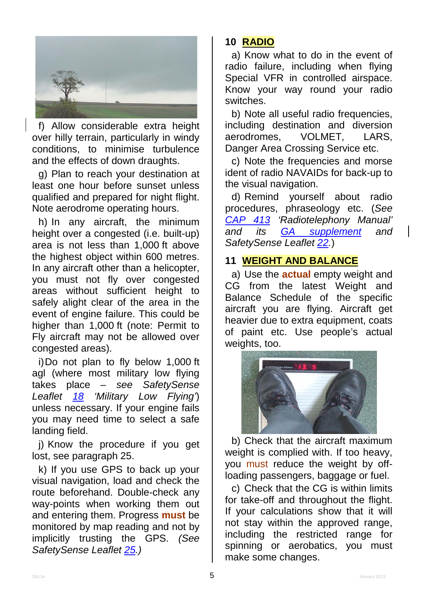

f) Allow considerable extra height over hilly terrain, particularly in windy conditions, to minimise turbulence and the effects of down draughts.

g) Plan to reach your destination at least one hour before sunset unless qualified and prepared for night flight. Note aerodrome operating hours.

h) In any aircraft, the minimum height over a congested (i.e. built-up) area is not less than 1,000 ft above the highest object within 600 metres. In any aircraft other than a helicopter, you must not fly over congested areas without sufficient height to safely alight clear of the area in the event of engine failure. This could be higher than 1,000 ft (note: Permit to Fly aircraft may not be allowed over congested areas).

i)Do not plan to fly below 1,000 ft agl (where most military low flying takes place – *see SafetySense Leaflet [18](http://www.caa.co.uk/safetysenseleaflet18) 'Military Low Flying'*) unless necessary. If your engine fails you may need time to select a safe landing field.

j) Know the procedure if you get lost, see paragraph 25.

k) If you use GPS to back up your visual navigation, load and check the route beforehand. Double-check any way-points when working them out and entering them. Progress **must** be monitored by map reading and not by implicitly trusting the GPS. *(See SafetySense Leaflet [25.](http://www.caa.co.uk/safetysenseleaflet25))*

# **10 RADIO**

a) Know what to do in the event of radio failure, including when flying Special VFR in controlled airspace. Know your way round your radio switches.

b) Note all useful radio frequencies, including destination and diversion<br>aerodromes. VOLMET. LARS. aerodromes. Danger Area Crossing Service etc.

c) Note the frequencies and morse ident of radio NAVAIDs for back-up to the visual navigation.

d) Remind yourself about radio procedures, phraseology etc. (*See [CAP 413](http://www.caa.co.uk/cap413) 'Radiotelephony Manual' and its [GA supplement](http://www.caa.co.uk/cap413radiotelephonysupplement3) and SafetySense Leaflet [22.](http://www.caa.co.uk/safetysenseleaflet22)*)

## **11 WEIGHT AND BALANCE**

a) Use the **actual** empty weight and CG from the latest Weight and Balance Schedule of the specific aircraft you are flying. Aircraft get heavier due to extra equipment, coats of paint etc. Use people's actual weights, too.



b) Check that the aircraft maximum weight is complied with. If too heavy, you must reduce the weight by offloading passengers, baggage or fuel.

c) Check that the CG is within limits for take-off and throughout the flight. If your calculations show that it will not stay within the approved range, including the restricted range for spinning or aerobatics, you must make some changes.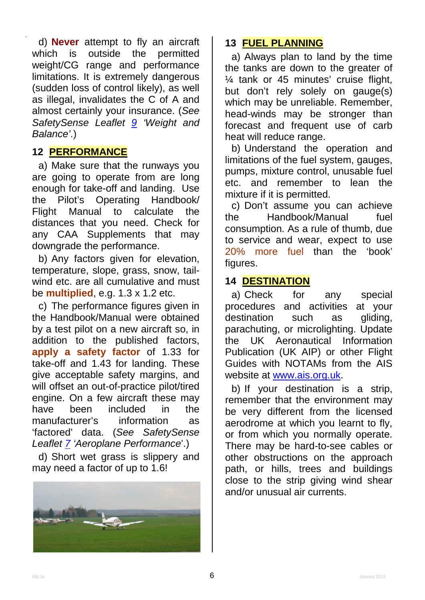d) **Never** attempt to fly an aircraft which is outside the permitted weight/CG range and performance limitations. It is extremely dangerous (sudden loss of control likely), as well as illegal, invalidates the C of A and almost certainly your insurance. (*See SafetySense Leaflet [9](http://www.caa.co.uk/safetysenseleaflet09) 'Weight and Balance'*.)

### **12 PERFORMANCE**

a) Make sure that the runways you are going to operate from are long enough for take-off and landing. Use the Pilot's Operating Handbook/ Flight Manual to calculate the distances that you need. Check for any CAA Supplements that may downgrade the performance.

b) Any factors given for elevation, temperature, slope, grass, snow, tailwind etc. are all cumulative and must be **multiplied**, e.g. 1.3 x 1.2 etc.

c) The performance figures given in the Handbook/Manual were obtained by a test pilot on a new aircraft so, in addition to the published factors, **apply a safety factor** of 1.33 for take-off and 1.43 for landing. These give acceptable safety margins, and will offset an out-of-practice pilot/tired engine. On a few aircraft these may have been included in the manufacturer's information as 'factored' data. (*See SafetySense Leaflet [7](http://www.caa.co.uk/safetysenseleaflet07) 'Aeroplane Performance*'.)

d) Short wet grass is slippery and may need a factor of up to 1.6!



## **13 FUEL PLANNING**

a) Always plan to land by the time the tanks are down to the greater of ¼ tank or 45 minutes' cruise flight, but don't rely solely on gauge(s) which may be unreliable. Remember, head-winds may be stronger than forecast and frequent use of carb heat will reduce range.

b) Understand the operation and limitations of the fuel system, gauges, pumps, mixture control, unusable fuel etc. and remember to lean the mixture if it is permitted.

c) Don't assume you can achieve the Handbook/Manual fuel consumption. As a rule of thumb, due to service and wear, expect to use 20% more fuel than the 'book' figures.

### **14 DESTINATION**

a) Check for any special procedures and activities at your<br>destination such as aliding. destination such as parachuting, or microlighting. Update the UK Aeronautical Information Publication (UK AIP) or other Flight Guides with NOTAMs from the AIS website at [www.ais.org.uk.](http://www.ais.org.uk/)

b) If your destination is a strip, remember that the environment may be very different from the licensed aerodrome at which you learnt to fly, or from which you normally operate. There may be hard-to-see cables or other obstructions on the approach path, or hills, trees and buildings close to the strip giving wind shear and/or unusual air currents.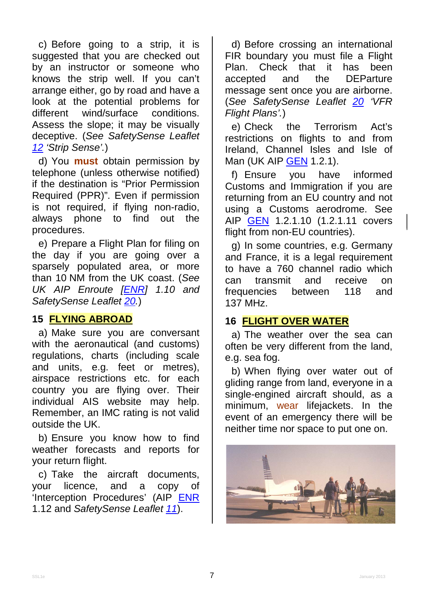c) Before going to a strip, it is suggested that you are checked out by an instructor or someone who knows the strip well. If you can't arrange either, go by road and have a look at the potential problems for different wind/surface conditions. Assess the slope; it may be visually deceptive. (*See SafetySense Leaflet [12](http://www.caa.co.uk/safetysenseleaflet12) 'Strip Sense'.*)

d) You **must** obtain permission by telephone (unless otherwise notified) if the destination is "Prior Permission Required (PPR)". Even if permission is not required, if flying non-radio, always phone to find out the procedures.

e) Prepare a Flight Plan for filing on the day if you are going over a sparsely populated area, or more than 10 NM from the UK coast. (*See UK AIP Enroute [\[ENR\]](http://www.nats-uk.ead-it.com/public/index.php%3Foption=com_content&task=blogcategory&id=4&Itemid=11.html) 1.10 and SafetySense Leaflet [20.](http://www.caa.co.uk/safetysenseleaflet20)*)

#### **15 FLYING ABROAD**

a) Make sure you are conversant with the aeronautical (and customs) regulations, charts (including scale and units, e.g. feet or metres), airspace restrictions etc. for each country you are flying over. Their individual AIS website may help. Remember, an IMC rating is not valid outside the UK.

b) Ensure you know how to find weather forecasts and reports for your return flight.

c) Take the aircraft documents, your licence, and a copy of 'Interception Procedures' (AIP [ENR](http://www.nats-uk.ead-it.com/public/index.php%3Foption=com_content&task=blogcategory&id=4&Itemid=11.html) 1.12 and *SafetySense Leaflet [11](http://www.caa.co.uk/safetysenseleaflet11)*).

d) Before crossing an international FIR boundary you must file a Flight<br>Plan. Check that it has been Check that it has been accepted and the DEParture message sent once you are airborne. (*See SafetySense Leaflet [20](http://www.caa.co.uk/safetysenseleaflet20) 'VFR Flight Plans'.*)

e) Check the Terrorism Act's restrictions on flights to and from Ireland, Channel Isles and Isle of Man (UK AIP [GEN](http://www.nats-uk.ead-it.com/public/index.php%3Foption=com_content&task=blogcategory&id=3&Itemid=10.html) 1.2.1).

f) Ensure you have informed Customs and Immigration if you are returning from an EU country and not using a Customs aerodrome. See AIP [GEN](http://www.nats-uk.ead-it.com/public/index.php%3Foption=com_content&task=blogcategory&id=3&Itemid=10.html) 1.2.1.10 (1.2.1.11 covers flight from non-EU countries).

g) In some countries, e.g. Germany and France, it is a legal requirement to have a 760 channel radio which can transmit and receive on frequencies between 118 and 137 MHz.

### **16 FLIGHT OVER WATER**

a) The weather over the sea can often be very different from the land, e.g. sea fog.

b) When flying over water out of gliding range from land, everyone in a single-engined aircraft should, as a minimum, wear lifejackets. In the event of an emergency there will be neither time nor space to put one on.

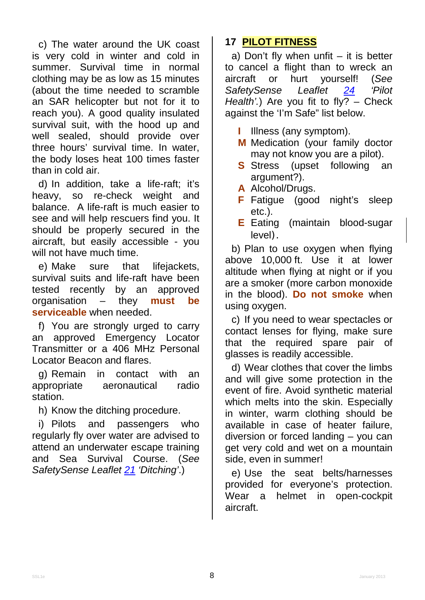c) The water around the UK coast is very cold in winter and cold in summer. Survival time in normal clothing may be as low as 15 minutes (about the time needed to scramble an SAR helicopter but not for it to reach you). A good quality insulated survival suit, with the hood up and well sealed, should provide over three hours' survival time. In water, the body loses heat 100 times faster than in cold air.

d) In addition, take a life-raft; it's heavy, so re-check weight and balance. A life-raft is much easier to see and will help rescuers find you. It should be properly secured in the aircraft, but easily accessible - you will not have much time.

e) Make sure that lifejackets, survival suits and life-raft have been tested recently by an approved organisation – they **must be serviceable** when needed.

f) You are strongly urged to carry an approved Emergency Locator Transmitter or a 406 MHz Personal Locator Beacon and flares.

g) Remain in contact with an appropriate aeronautical radio station.

h) Know the ditching procedure.

i) Pilots and passengers who regularly fly over water are advised to attend an underwater escape training and Sea Survival Course. (*See SafetySense Leaflet [21](http://www.caa.co.uk/safetysenseleaflet21) 'Ditching'*.)

# **17 PILOT FITNESS**

a) Don't fly when unfit  $-$  it is better to cancel a flight than to wreck an<br>aircraft or hurt vourself! (See aircraft or hurt yourself! (*See*  SafetySense *[24](http://www.caa.co.uk/safetysenseleaflet24) 'Pilot Health'.*) Are you fit to fly? – Check against the 'I'm Safe" list below.

- **I** Illness (any symptom).
- **M** Medication (your family doctor may not know you are a pilot).
- **S** Stress (upset following an argument?).
- **A** Alcohol/Drugs.
- **F** Fatigue (good night's sleep etc.).
- **E** Eating (maintain blood-sugar level).

b) Plan to use oxygen when flying above 10,000 ft. Use it at lower altitude when flying at night or if you are a smoker (more carbon monoxide in the blood). **Do not smoke** when using oxygen.

c) If you need to wear spectacles or contact lenses for flying, make sure that the required spare pair of glasses is readily accessible.

d) Wear clothes that cover the limbs and will give some protection in the event of fire. Avoid synthetic material which melts into the skin. Especially in winter, warm clothing should be available in case of heater failure, diversion or forced landing – you can get very cold and wet on a mountain side, even in summer!

e) Use the seat belts/harnesses provided for everyone's protection. Wear a helmet in open-cockpit aircraft.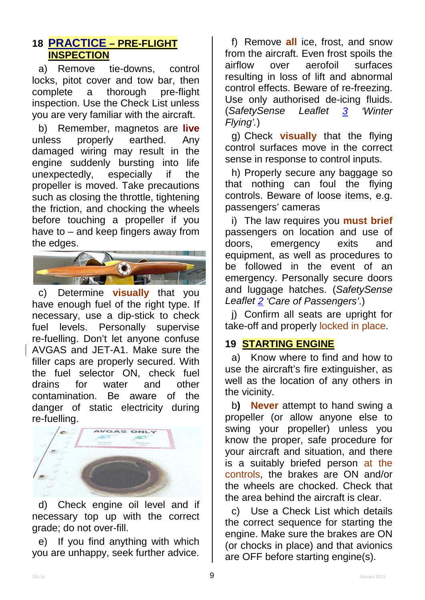### **18 PRACTICE – PRE-FLIGHT INSPECTION**

a) Remove tie-downs, control locks, pitot cover and tow bar, then<br>complete a thorough pre-flight thorough inspection. Use the Check List unless you are very familiar with the aircraft.

b) Remember, magnetos are **live** unless properly earthed. Any damaged wiring may result in the engine suddenly bursting into life<br>unexpectedly, especially if the unexpectedly, especially if the propeller is moved. Take precautions such as closing the throttle, tightening the friction, and chocking the wheels before touching a propeller if you have to – and keep fingers away from the edges.



c) Determine **visually** that you have enough fuel of the right type. If necessary, use a dip-stick to check fuel levels. Personally supervise re-fuelling. Don't let anyone confuse AVGAS and JET-A1. Make sure the filler caps are properly secured. With the fuel selector ON, check fuel drains for water and other contamination. Be aware of the danger of static electricity during re-fuelling.



d) Check engine oil level and if necessary top up with the correct grade; do not over-fill.

e) If you find anything with which you are unhappy, seek further advice.

f) Remove **all** ice, frost, and snow from the aircraft. Even frost spoils the airflow over aerofoil surfaces resulting in loss of lift and abnormal control effects. Beware of re-freezing. Use only authorised de-icing fluids. (*SafetySense Leaflet [3](http://www.caa.co.uk/safetysenseleaflet03) 'Winter Flying'.*)

g) Check **visually** that the flying control surfaces move in the correct sense in response to control inputs.

h) Properly secure any baggage so that nothing can foul the flying controls. Beware of loose items, e.g. passengers' cameras

i) The law requires you **must brief** passengers on location and use of doors, emergency exits and equipment, as well as procedures to be followed in the event of an emergency. Personally secure doors and luggage hatches. (*SafetySense Leaflet [2](http://www.caa.co.uk/safetysenseleaflet02) 'Care of Passengers'*.)

j) Confirm all seats are upright for take-off and properly locked in place.

### **19 STARTING ENGINE**

a) Know where to find and how to use the aircraft's fire extinguisher, as well as the location of any others in the vicinity.

b**) Never** attempt to hand swing a propeller (or allow anyone else to swing your propeller) unless you know the proper, safe procedure for your aircraft and situation, and there is a suitably briefed person at the controls, the brakes are ON and/or the wheels are chocked. Check that the area behind the aircraft is clear.

c) Use a Check List which details the correct sequence for starting the engine. Make sure the brakes are ON (or chocks in place) and that avionics are OFF before starting engine(s).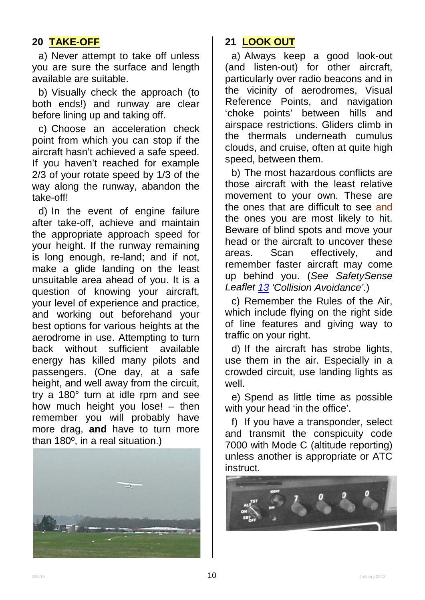# **20 TAKE-OFF**

a) Never attempt to take off unless you are sure the surface and length available are suitable.

b) Visually check the approach (to both ends!) and runway are clear before lining up and taking off.

c) Choose an acceleration check point from which you can stop if the aircraft hasn't achieved a safe speed. If you haven't reached for example 2/3 of your rotate speed by 1/3 of the way along the runway, abandon the take-off!

d) In the event of engine failure after take-off, achieve and maintain the appropriate approach speed for your height. If the runway remaining is long enough, re-land; and if not, make a glide landing on the least unsuitable area ahead of you. It is a question of knowing your aircraft, your level of experience and practice, and working out beforehand your best options for various heights at the aerodrome in use. Attempting to turn<br>back without sufficient available sufficient available energy has killed many pilots and passengers. (One day, at a safe height, and well away from the circuit, try a 180° turn at idle rpm and see how much height you lose! – then remember you will probably have more drag, **and** have to turn more than 180º, in a real situation.)



# **21 LOOK OUT**

a) Always keep a good look-out (and listen-out) for other aircraft, particularly over radio beacons and in the vicinity of aerodromes, Visual Reference Points, and navigation 'choke points' between hills and airspace restrictions. Gliders climb in the thermals underneath cumulus clouds, and cruise, often at quite high speed, between them.

b) The most hazardous conflicts are those aircraft with the least relative movement to your own. These are the ones that are difficult to see and the ones you are most likely to hit. Beware of blind spots and move your head or the aircraft to uncover these areas. Scan effectively, and remember faster aircraft may come up behind you. (*See SafetySense Leaflet [13](http://www.caa.co.uk/safetysenseleaflet13) 'Collision Avoidance'*.)

c) Remember the Rules of the Air, which include flying on the right side of line features and giving way to traffic on your right.

d) If the aircraft has strobe lights, use them in the air. Especially in a crowded circuit, use landing lights as well.

e) Spend as little time as possible with your head 'in the office'.

f) If you have a transponder, select and transmit the conspicuity code 7000 with Mode C (altitude reporting) unless another is appropriate or ATC instruct.

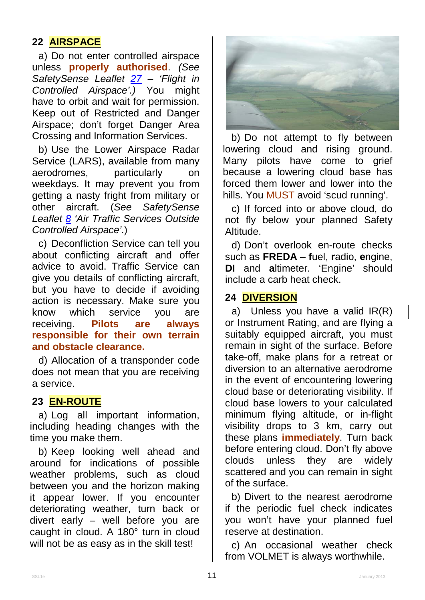# **22 AIRSPACE**

a) Do not enter controlled airspace unless **properly authorised**. *(See SafetySense Leaflet [27](http://www.caa.co.uk/safetysenseleaflet27) – 'Flight in Controlled Airspace'.)* You might have to orbit and wait for permission. Keep out of Restricted and Danger Airspace; don't forget Danger Area Crossing and Information Services.

b) Use the Lower Airspace Radar Service (LARS), available from many aerodromes, particularly on weekdays. It may prevent you from getting a nasty fright from military or other aircraft. (*See SafetySense Leaflet [8](http://www.caa.co.uk/safetysenseleaflet08) 'Air Traffic Services Outside Controlled Airspace'*.)

c) Deconfliction Service can tell you about conflicting aircraft and offer advice to avoid. Traffic Service can give you details of conflicting aircraft, but you have to decide if avoiding action is necessary. Make sure you know which service you are receiving. **Pilots are always responsible for their own terrain and obstacle clearance.**

d) Allocation of a transponder code does not mean that you are receiving a service.

## **23 EN-ROUTE**

a) Log all important information, including heading changes with the time you make them.

b) Keep looking well ahead and around for indications of possible weather problems, such as cloud between you and the horizon making it appear lower. If you encounter deteriorating weather, turn back or divert early – well before you are caught in cloud. A 180° turn in cloud will not be as easy as in the skill test!



b) Do not attempt to fly between lowering cloud and rising ground. Many pilots have come to grief because a lowering cloud base has forced them lower and lower into the hills. You MUST avoid 'scud running'.

c) If forced into or above cloud, do not fly below your planned Safety Altitude.

d) Don't overlook en-route checks such as **FREDA** – **f**uel, **r**adio, **e**ngine, **DI** and **a**ltimeter. 'Engine' should include a carb heat check.

### **24 DIVERSION**

a) Unless you have a valid IR(R) or Instrument Rating, and are flying a suitably equipped aircraft, you must remain in sight of the surface. Before take-off, make plans for a retreat or diversion to an alternative aerodrome in the event of encountering lowering cloud base or deteriorating visibility. If cloud base lowers to your calculated minimum flying altitude, or in-flight visibility drops to 3 km, carry out these plans **immediately**. Turn back before entering cloud. Don't fly above clouds unless they are widely scattered and you can remain in sight of the surface.

b) Divert to the nearest aerodrome if the periodic fuel check indicates you won't have your planned fuel reserve at destination.

c) An occasional weather check from VOLMET is always worthwhile.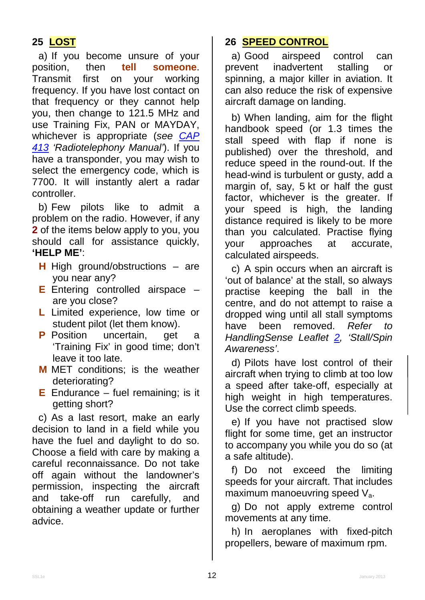# **25 LOST**

a) If you become unsure of your<br>position. then **tell someone**. then **tell someone**.<br>first on your working Transmit first on your working frequency. If you have lost contact on that frequency or they cannot help you, then change to 121.5 MHz and use Training Fix, PAN or MAYDAY, whichever is appropriate (*see [CAP](http://www.caa.co.uk/cap413)  [413](http://www.caa.co.uk/cap413) 'Radiotelephony Manual'*). If you have a transponder, you may wish to select the emergency code, which is 7700. It will instantly alert a radar controller.

b) Few pilots like to admit a problem on the radio. However, if any **2** of the items below apply to you, you should call for assistance quickly, **'HELP ME'**:

- **H** High ground/obstructions are you near any?
- **E** Entering controlled airspace are you close?
- **L** Limited experience, low time or student pilot (let them know).
- **P** Position uncertain, get a 'Training Fix' in good time; don't leave it too late.
- **M** MET conditions; is the weather deteriorating?
- **E** Endurance fuel remaining; is it getting short?

c) As a last resort, make an early decision to land in a field while you have the fuel and daylight to do so. Choose a field with care by making a careful reconnaissance. Do not take off again without the landowner's permission, inspecting the aircraft and take-off run carefully, and obtaining a weather update or further advice.

### **26 SPEED CONTROL**

a) Good airspeed control can prevent inadvertent stalling or spinning, a major killer in aviation. It can also reduce the risk of expensive aircraft damage on landing.

b) When landing, aim for the flight handbook speed (or 1.3 times the stall speed with flap if none is published) over the threshold, and reduce speed in the round-out. If the head-wind is turbulent or gusty, add a margin of, say, 5 kt or half the gust factor, whichever is the greater. If your speed is high, the landing distance required is likely to be more than you calculated. Practise flying your approaches at accurate, calculated airspeeds.

c) A spin occurs when an aircraft is 'out of balance' at the stall, so always practise keeping the ball in the centre, and do not attempt to raise a dropped wing until all stall symptoms have been removed. *Refer to HandlingSense Leaflet [2,](http://www.caa.co.uk/handlingsenseleaflet02) 'Stall/Spin Awareness'*.

d) Pilots have lost control of their aircraft when trying to climb at too low a speed after take-off, especially at high weight in high temperatures. Use the correct climb speeds.

e) If you have not practised slow flight for some time, get an instructor to accompany you while you do so (at a safe altitude).

f) Do not exceed the limiting speeds for your aircraft. That includes maximum manoeuvring speed  $V_a$ .

g) Do not apply extreme control movements at any time.

h) In aeroplanes with fixed-pitch propellers, beware of maximum rpm.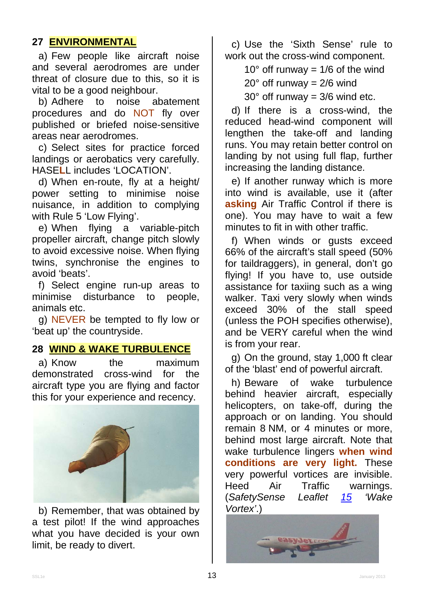## **27 ENVIRONMENTAL**

a) Few people like aircraft noise and several aerodromes are under threat of closure due to this, so it is vital to be a good neighbour.

b) Adhere to noise abatement procedures and do NOT fly over published or briefed noise-sensitive areas near aerodromes.

c) Select sites for practice forced landings or aerobatics very carefully. HASE**L**L includes 'LOCATION'.

d) When en-route, fly at a height/ power setting to minimise noise nuisance, in addition to complying with Rule 5 'Low Flying'.

e) When flying a variable-pitch propeller aircraft, change pitch slowly to avoid excessive noise. When flying twins, synchronise the engines to avoid 'beats'.

f) Select engine run-up areas to minimise disturbance to people, animals etc.

g) NEVER be tempted to fly low or 'beat up' the countryside.

### **28 WIND & WAKE TURBULENCE**

a) Know the maximum demonstrated cross-wind for the aircraft type you are flying and factor this for your experience and recency.



b) Remember, that was obtained by a test pilot! If the wind approaches what you have decided is your own limit, be ready to divert.

c) Use the 'Sixth Sense' rule to work out the cross-wind component.

 $10^{\circ}$  off runway = 1/6 of the wind

 $20^\circ$  off runway =  $2/6$  wind

 $30^\circ$  off runway =  $3/6$  wind etc.

d) If there is a cross-wind, the reduced head-wind component will lengthen the take-off and landing runs. You may retain better control on landing by not using full flap, further increasing the landing distance.

e) If another runway which is more into wind is available, use it (after **asking** Air Traffic Control if there is one). You may have to wait a few minutes to fit in with other traffic.

f) When winds or gusts exceed 66% of the aircraft's stall speed (50% for taildraggers), in general, don't go flying! If you have to, use outside assistance for taxiing such as a wing walker. Taxi very slowly when winds exceed 30% of the stall speed (unless the POH specifies otherwise), and be VERY careful when the wind is from your rear.

g) On the ground, stay 1,000 ft clear of the 'blast' end of powerful aircraft.

h) Beware of wake turbulence behind heavier aircraft, especially helicopters, on take-off, during the approach or on landing. You should remain 8 NM, or 4 minutes or more, behind most large aircraft. Note that wake turbulence lingers **when wind conditions are very light.** These very powerful vortices are invisible. Heed Air Traffic warnings. (*SafetySense Leaflet [15](http://www.caa.co.uk/safetysenseleaflet15) 'Wake Vortex'*.)

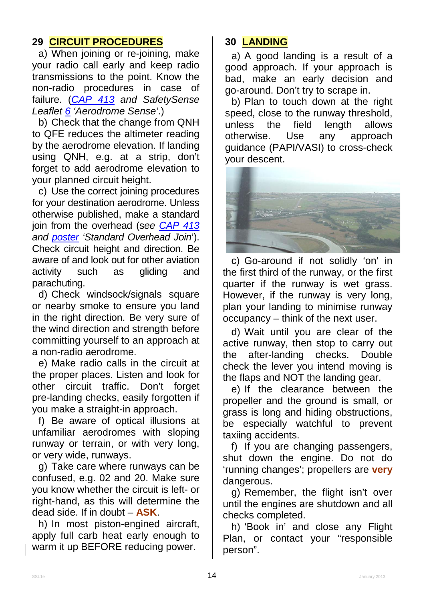# **29 CIRCUIT PROCEDURES**

a) When joining or re-joining, make your radio call early and keep radio transmissions to the point. Know the non-radio procedures in case of failure. ( *[CAP 413](http://www.caa.co.uk/cap413) and SafetySense Leaflet [6](http://www.caa.co.uk/safetysenseleaflet06) 'Aerodrome Sense'*.)

b) Check that the change from QNH to QFE reduces the altimeter reading by the aerodrome elevation. If landing using QNH, e.g. at a strip, don't forget to add aerodrome elevation to your planned circuit height.

c) Use the correct joining procedures for your destination aerodrome. Unless otherwise published, make a standard join from the overhead (s*ee [CAP 413](http://www.caa.co.uk/cap413) and [poster](http://www.caa.co.uk/application.aspx?catid=33&pagetype=65&appid=11&mode=detail&id=2166) 'Standard Overhead Join*'). Check circuit height and direction. Be aware of and look out for other aviation activity such as gliding and parachuting.

d) Check windsock/signals square or nearby smoke to ensure you land in the right direction. Be very sure of the wind direction and strength before committing yourself to an approach at a non-radio aerodrome.

e) Make radio calls in the circuit at the proper places. Listen and look for other circuit traffic. Don't forget pre-landing checks, easily forgotten if you make a straight-in approach.

f) Be aware of optical illusions at unfamiliar aerodromes with sloping runway or terrain, or with very long, or very wide, runways.

g) Take care where runways can be confused, e.g. 02 and 20. Make sure you know whether the circuit is left- or right-hand, as this will determine the dead side. If in doubt – **ASK**.

h) In most piston-engined aircraft, apply full carb heat early enough to warm it up BEFORE reducing power.

# **30 LANDING**

a) A good landing is a result of a good approach. If your approach is bad, make an early decision and go-around. Don't try to scrape in.

b) Plan to touch down at the right speed, close to the runway threshold, unless the field length allows<br>otherwise. Use any approach otherwise. Use any approach guidance (PAPI/VASI) to cross-check your descent.



c) Go-around if not solidly 'on' in the first third of the runway, or the first quarter if the runway is wet grass. However, if the runway is very long, plan your landing to minimise runway occupancy – think of the next user.

d) Wait until you are clear of the active runway, then stop to carry out the after-landing checks. Double check the lever you intend moving is the flaps and NOT the landing gear.

e) If the clearance between the propeller and the ground is small, or grass is long and hiding obstructions, be especially watchful to prevent taxiing accidents.

f) If you are changing passengers, shut down the engine. Do not do 'running changes'; propellers are **very** dangerous.

g) Remember, the flight isn't over until the engines are shutdown and all checks completed.

h) 'Book in' and close any Flight Plan, or contact your "responsible person".